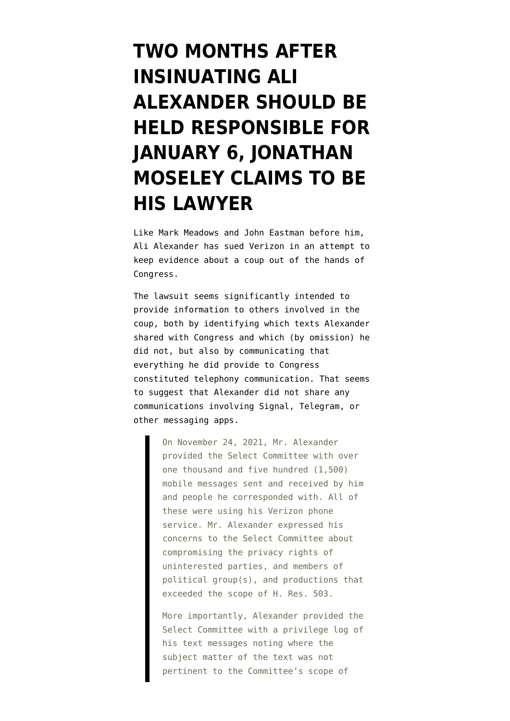## **[TWO MONTHS AFTER](https://www.emptywheel.net/2021/12/18/two-months-after-insinuating-ali-alexander-should-be-charged-jonathan-moseley-claims-to-be-his-lawyer/) [INSINUATING ALI](https://www.emptywheel.net/2021/12/18/two-months-after-insinuating-ali-alexander-should-be-charged-jonathan-moseley-claims-to-be-his-lawyer/) [ALEXANDER SHOULD BE](https://www.emptywheel.net/2021/12/18/two-months-after-insinuating-ali-alexander-should-be-charged-jonathan-moseley-claims-to-be-his-lawyer/) [HELD RESPONSIBLE FOR](https://www.emptywheel.net/2021/12/18/two-months-after-insinuating-ali-alexander-should-be-charged-jonathan-moseley-claims-to-be-his-lawyer/) [JANUARY 6, JONATHAN](https://www.emptywheel.net/2021/12/18/two-months-after-insinuating-ali-alexander-should-be-charged-jonathan-moseley-claims-to-be-his-lawyer/) [MOSELEY CLAIMS TO BE](https://www.emptywheel.net/2021/12/18/two-months-after-insinuating-ali-alexander-should-be-charged-jonathan-moseley-claims-to-be-his-lawyer/) [HIS LAWYER](https://www.emptywheel.net/2021/12/18/two-months-after-insinuating-ali-alexander-should-be-charged-jonathan-moseley-claims-to-be-his-lawyer/)**

Like Mark Meadows and John Eastman before him, Ali Alexander has [sued](https://s3.documentcloud.org/documents/21164450/211217-alexander-lawsuit.pdf) Verizon in an attempt to keep evidence about a coup out of the hands of Congress.

The lawsuit seems significantly intended to provide information to others involved in the coup, both by identifying which texts Alexander shared with Congress and which (by omission) he did not, but also by communicating that everything he did provide to Congress constituted telephony communication. That seems to suggest that Alexander did not share any communications involving Signal, Telegram, or other messaging apps.

> On November 24, 2021, Mr. Alexander provided the Select Committee with over one thousand and five hundred (1,500) mobile messages sent and received by him and people he corresponded with. All of these were using his Verizon phone service. Mr. Alexander expressed his concerns to the Select Committee about compromising the privacy rights of uninterested parties, and members of political group(s), and productions that exceeded the scope of H. Res. 503.

> More importantly, Alexander provided the Select Committee with a privilege log of his text messages noting where the subject matter of the text was not pertinent to the Committee's scope of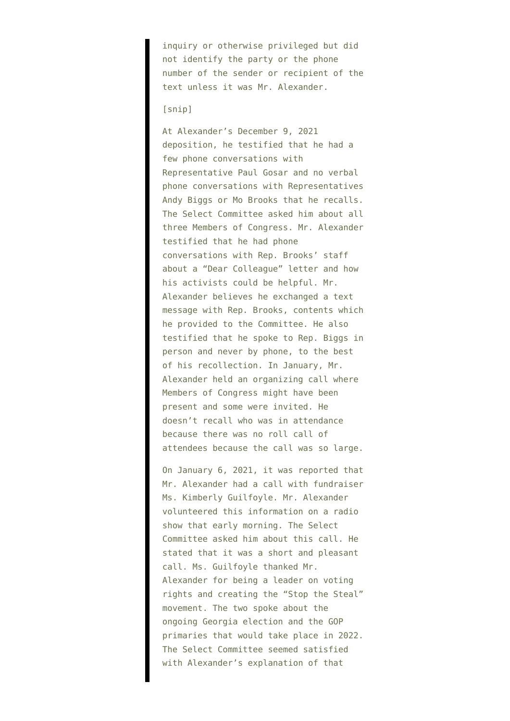inquiry or otherwise privileged but did not identify the party or the phone number of the sender or recipient of the text unless it was Mr. Alexander.

## [snip]

At Alexander's December 9, 2021 deposition, he testified that he had a few phone conversations with Representative Paul Gosar and no verbal phone conversations with Representatives Andy Biggs or Mo Brooks that he recalls. The Select Committee asked him about all three Members of Congress. Mr. Alexander testified that he had phone conversations with Rep. Brooks' staff about a "Dear Colleague" letter and how his activists could be helpful. Mr. Alexander believes he exchanged a text message with Rep. Brooks, contents which he provided to the Committee. He also testified that he spoke to Rep. Biggs in person and never by phone, to the best of his recollection. In January, Mr. Alexander held an organizing call where Members of Congress might have been present and some were invited. He doesn't recall who was in attendance because there was no roll call of attendees because the call was so large.

On January 6, 2021, it was reported that Mr. Alexander had a call with fundraiser Ms. Kimberly Guilfoyle. Mr. Alexander volunteered this information on a radio show that early morning. The Select Committee asked him about this call. He stated that it was a short and pleasant call. Ms. Guilfoyle thanked Mr. Alexander for being a leader on voting rights and creating the "Stop the Steal" movement. The two spoke about the ongoing Georgia election and the GOP primaries that would take place in 2022. The Select Committee seemed satisfied with Alexander's explanation of that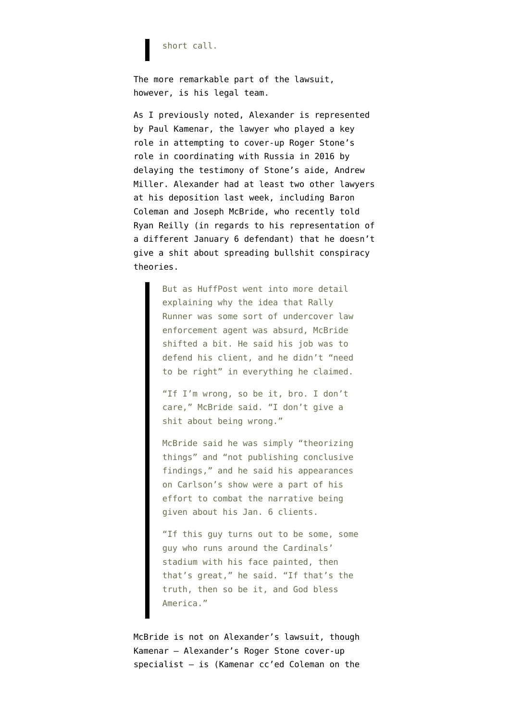## short call.

The more remarkable part of the lawsuit, however, is his legal team.

As I [previously noted](https://www.emptywheel.net/2021/12/09/doj-already-debunked-the-lies-ali-alexander-is-about-to-tell-congress/), Alexander is represented by Paul Kamenar, the lawyer who played a key role in attempting to cover-up Roger Stone's role in coordinating with Russia in 2016 by delaying the testimony of Stone's aide, Andrew Miller. Alexander had at least two other lawyers at his deposition last week, including [Baron](https://www.splcenter.org/hatewatch/2020/12/18/law-firm-tied-far-right-fringe-registers-stop-steal-llc-alabama) [Coleman](https://www.splcenter.org/hatewatch/2020/12/18/law-firm-tied-far-right-fringe-registers-stop-steal-llc-alabama) and Joseph McBride, who [recently told](https://www.huffpost.com/entry/tucker-carlson-capitol-attack-jan-6-rally-runner_n_61afb97de4b01fcf12b89bd9) Ryan Reilly (in regards to his representation of a different January 6 defendant) that he doesn't give a shit about spreading bullshit conspiracy theories.

> But as HuffPost went into more detail explaining why the idea that Rally Runner was some sort of undercover law enforcement agent was absurd, McBride shifted a bit. He said his job was to defend his client, and he didn't "need to be right" in everything he claimed.

"If I'm wrong, so be it, bro. I don't care," McBride said. "I don't give a shit about being wrong."

McBride said he was simply "theorizing things" and "not publishing conclusive findings," and he said his appearances on Carlson's show were a part of his effort to combat the narrative being given about his Jan. 6 clients.

"If this guy turns out to be some, some guy who runs around the Cardinals' stadium with his face painted, then that's great," he said. "If that's the truth, then so be it, and God bless America."

McBride is not on Alexander's lawsuit, though Kamenar — Alexander's Roger Stone cover-up specialist — is (Kamenar cc'ed Coleman on the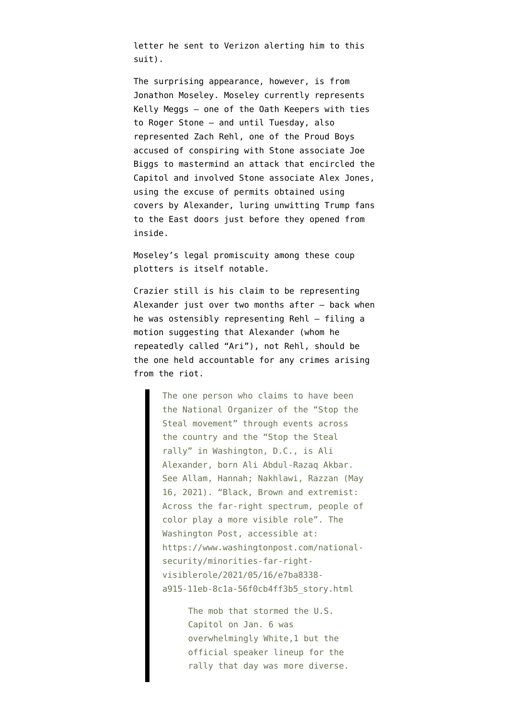letter he sent to Verizon alerting him to this suit).

The surprising appearance, however, is from Jonathon Moseley. Moseley currently represents Kelly Meggs — one of the Oath Keepers with ties to Roger Stone — and [until Tuesday](https://storage.courtlistener.com/recap/gov.uscourts.dcd.229063/gov.uscourts.dcd.229063.251.0.pdf), also represented Zach Rehl, one of the Proud Boys accused of conspiring with Stone associate Joe Biggs to mastermind an attack that encircled the Capitol and involved Stone associate Alex Jones, using the excuse of permits obtained using covers by Alexander, luring unwitting Trump fans to the East doors just before they opened from inside.

Moseley's legal promiscuity among these coup plotters is itself notable.

Crazier still is his claim to be representing Alexander just over two months after — back when he was ostensibly representing Rehl — [filing a](https://storage.courtlistener.com/recap/gov.uscourts.dcd.229063/gov.uscourts.dcd.229063.200.0.pdf) [motion](https://storage.courtlistener.com/recap/gov.uscourts.dcd.229063/gov.uscourts.dcd.229063.200.0.pdf) suggesting that Alexander (whom he repeatedly called "Ari"), not Rehl, should be the one held accountable for any crimes arising from the riot.

> The one person who claims to have been the National Organizer of the "Stop the Steal movement" through events across the country and the "Stop the Steal rally" in Washington, D.C., is Ali Alexander, born Ali Abdul-Razaq Akbar. See Allam, Hannah; Nakhlawi, Razzan (May 16, 2021). "Black, Brown and extremist: Across the far-right spectrum, people of color play a more visible role". The Washington Post, accessible at: https://www.washingtonpost.com/nationalsecurity/minorities-far-rightvisiblerole/2021/05/16/e7ba8338 a915-11eb-8c1a-56f0cb4ff3b5\_story.html

> > The mob that stormed the U.S. Capitol on Jan. 6 was overwhelmingly White,1 but the official speaker lineup for the rally that day was more diverse.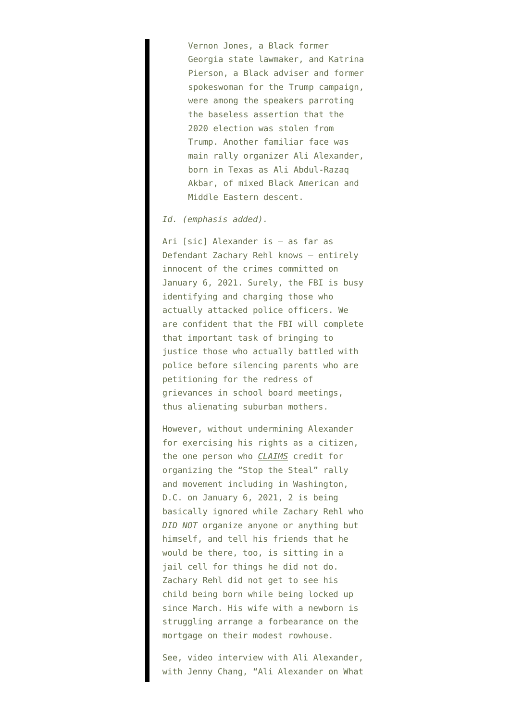Vernon Jones, a Black former Georgia state lawmaker, and Katrina Pierson, a Black adviser and former spokeswoman for the Trump campaign, were among the speakers parroting the baseless assertion that the 2020 election was stolen from Trump. Another familiar face was main rally organizer Ali Alexander, born in Texas as Ali Abdul-Razaq Akbar, of mixed Black American and Middle Eastern descent.

## *Id. (emphasis added).*

Ari [sic] Alexander is – as far as Defendant Zachary Rehl knows – entirely innocent of the crimes committed on January 6, 2021. Surely, the FBI is busy identifying and charging those who actually attacked police officers. We are confident that the FBI will complete that important task of bringing to justice those who actually battled with police before silencing parents who are petitioning for the redress of grievances in school board meetings, thus alienating suburban mothers.

However, without undermining Alexander for exercising his rights as a citizen, the one person who *CLAIMS* credit for organizing the "Stop the Steal" rally and movement including in Washington, D.C. on January 6, 2021, 2 is being basically ignored while Zachary Rehl who *DID NOT* organize anyone or anything but himself, and tell his friends that he would be there, too, is sitting in a jail cell for things he did not do. Zachary Rehl did not get to see his child being born while being locked up since March. His wife with a newborn is struggling arrange a forbearance on the mortgage on their modest rowhouse.

See, video interview with Ali Alexander, with Jenny Chang, "Ali Alexander on What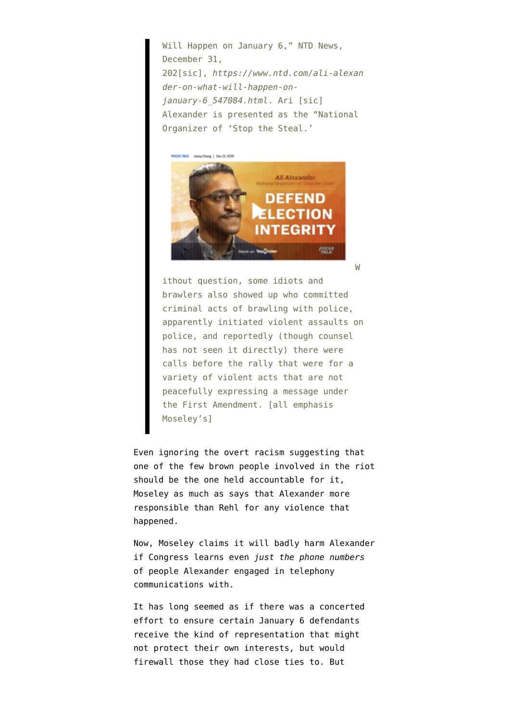Will Happen on January 6," NTD News, December 31, 202[sic], *https://www.ntd.com/ali-alexan der-on-what-will-happen-onjanuary-6\_547084.html*. Ari [sic] Alexander is presented as the "National Organizer of 'Stop the Steal.'



[W](https://www.emptywheel.net/wp-content/uploads/2021/12/Screen-Shot-2021-12-18-at-1.42.18-PM.png)

ithout question, some idiots and brawlers also showed up who committed criminal acts of brawling with police, apparently initiated violent assaults on police, and reportedly (though counsel has not seen it directly) there were calls before the rally that were for a variety of violent acts that are not peacefully expressing a message under the First Amendment. [all emphasis Moseley's]

Even ignoring the overt racism suggesting that one of the few brown people involved in the riot should be the one held accountable for it, Moseley as much as says that Alexander more responsible than Rehl for any violence that happened.

Now, Moseley claims it will badly harm Alexander if Congress learns even *just the phone numbers* of people Alexander engaged in telephony communications with.

It has long seemed as if there was a concerted effort to ensure certain January 6 defendants receive the kind of representation that might not protect their own interests, but would firewall those they had close ties to. But